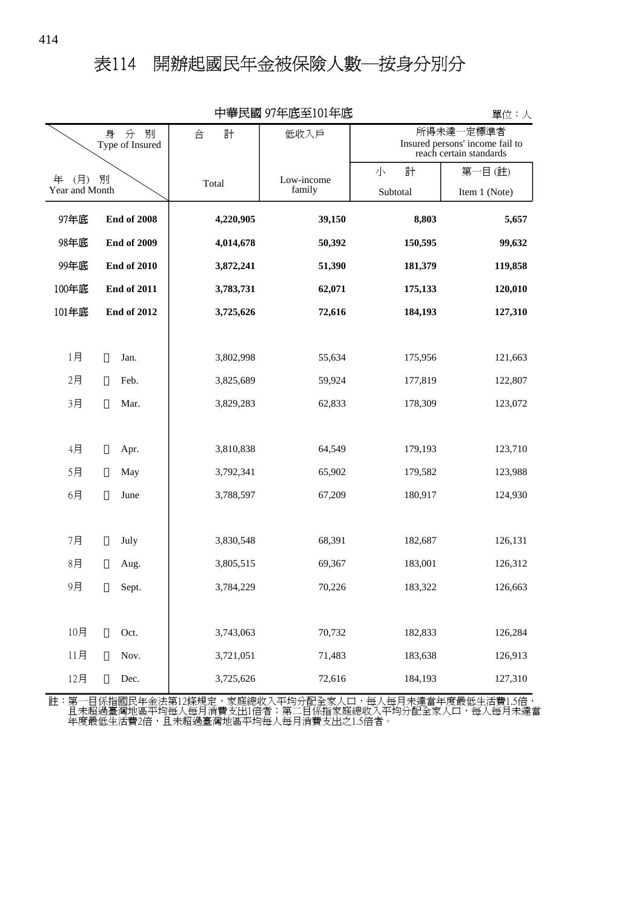## 表114 開辦起國民年金被保險人數─按身分別分

| 屮亊氏図 ソ/平広王lUI平広<br>單位:人        |                    |           |            |          |                                                                         |  |  |  |  |  |
|--------------------------------|--------------------|-----------|------------|----------|-------------------------------------------------------------------------|--|--|--|--|--|
| 別<br>身<br>分<br>Type of Insured |                    | 合<br>計    | 低收入戶       |          | 所得未達一定標準者<br>Insured persons' income fail to<br>reach certain standards |  |  |  |  |  |
| (月)<br>年<br>別                  |                    |           | Low-income | 計<br>小   | 第一目(註)                                                                  |  |  |  |  |  |
| Year and Month                 |                    | Total     | family     | Subtotal | Item 1 (Note)                                                           |  |  |  |  |  |
| 97年底                           | <b>End of 2008</b> | 4,220,905 | 39,150     | 8,803    | 5,657                                                                   |  |  |  |  |  |
| 98年底                           | <b>End of 2009</b> | 4,014,678 | 50,392     | 150,595  | 99,632                                                                  |  |  |  |  |  |
| 99年底                           | <b>End of 2010</b> | 3,872,241 | 51,390     | 181,379  | 119,858                                                                 |  |  |  |  |  |
| 100年底                          | <b>End of 2011</b> | 3,783,731 | 62,071     | 175,133  | 120,010                                                                 |  |  |  |  |  |
| 101年底                          | <b>End of 2012</b> | 3,725,626 | 72,616     | 184,193  | 127,310                                                                 |  |  |  |  |  |
|                                |                    |           |            |          |                                                                         |  |  |  |  |  |
| 1月                             | Jan.               | 3,802,998 | 55,634     | 175,956  | 121,663                                                                 |  |  |  |  |  |
| 2月                             | Feb.               | 3,825,689 | 59,924     | 177,819  | 122,807                                                                 |  |  |  |  |  |
| 3月                             | Mar.               | 3,829,283 | 62,833     | 178,309  | 123,072                                                                 |  |  |  |  |  |
|                                |                    |           |            |          |                                                                         |  |  |  |  |  |
| 4月                             | Apr.               | 3,810,838 | 64,549     | 179,193  | 123,710                                                                 |  |  |  |  |  |
| 5月                             | May                | 3,792,341 | 65,902     | 179,582  | 123,988                                                                 |  |  |  |  |  |
| 6月                             | June               | 3,788,597 | 67,209     | 180,917  | 124,930                                                                 |  |  |  |  |  |
|                                |                    |           |            |          |                                                                         |  |  |  |  |  |
| 7月                             | July               | 3,830,548 | 68,391     | 182,687  | 126,131                                                                 |  |  |  |  |  |
| 8月                             | Aug.               | 3,805,515 | 69,367     | 183,001  | 126,312                                                                 |  |  |  |  |  |
| 9月                             | Sept.              | 3,784,229 | 70,226     | 183,322  | 126,663                                                                 |  |  |  |  |  |
|                                |                    |           |            |          |                                                                         |  |  |  |  |  |
| 10月                            | Oct.               | 3,743,063 | 70,732     | 182,833  | 126,284                                                                 |  |  |  |  |  |
| 11月                            | Nov.               | 3,721,051 | 71,483     | 183,638  | 126,913                                                                 |  |  |  |  |  |
| 12月                            | Dec.               | 3,725,626 | 72,616     | 184,193  | 127,310                                                                 |  |  |  |  |  |

中華民國 97年底至101年底

單位:人

年度最低生活費2倍,且未超過臺灣地區平均每人每月消費支出之1.5倍者。 且未超過臺灣地區平均每人每月消費支出1倍者;第二目係指家庭總收入平均分配全家人口,每人每月未達當 註:第一目係指國民年金法第12條規定,家庭總收入平均分配全家人口,每人每月未達當年度最低生活費1.5倍,